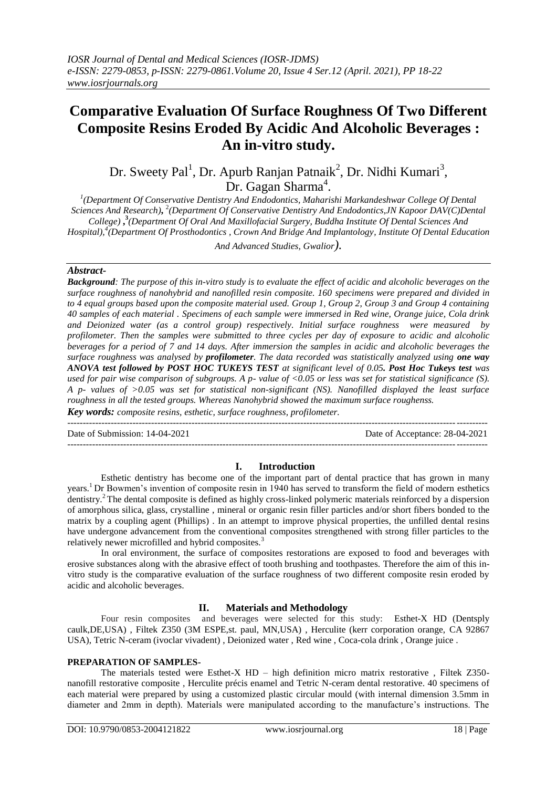# **Comparative Evaluation Of Surface Roughness Of Two Different Composite Resins Eroded By Acidic And Alcoholic Beverages : An in-vitro study.**

Dr. Sweety Pal<sup>1</sup>, Dr. Apurb Ranjan Patnaik<sup>2</sup>, Dr. Nidhi Kumari<sup>3</sup>, Dr. Gagan Sharma<sup>4</sup>.

<sup>1</sup>(Department Of Conservative Dentistry And Endodontics, Maharishi Markandeshwar College Of Dental Sciences And Research), <sup>2</sup>(Department Of Conservative Dentistry And Endodontics, JN Kapoor DAV(C)Dental *College)* **, 3** *(Department Of Oral And Maxillofacial Surgery, Buddha Institute Of Dental Sciences And Hospital), 4 (Department Of Prosthodontics , Crown And Bridge And Implantology, Institute Of Dental Education And Advanced Studies, Gwalior).*

# *Abstract-*

*Background: The purpose of this in-vitro study is to evaluate the effect of acidic and alcoholic beverages on the surface roughness of nanohybrid and nanofilled resin composite. 160 specimens were prepared and divided in to 4 equal groups based upon the composite material used. Group 1, Group 2, Group 3 and Group 4 containing 40 samples of each material . Specimens of each sample were immersed in Red wine, Orange juice, Cola drink and Deionized water (as a control group) respectively. Initial surface roughness were measured by profilometer. Then the samples were submitted to three cycles per day of exposure to acidic and alcoholic beverages for a period of 7 and 14 days. After immersion the samples in acidic and alcoholic beverages the surface roughness was analysed by profilometer. The data recorded was statistically analyzed using one way ANOVA test followed by POST HOC TUKEYS TEST at significant level of 0.05. Post Hoc Tukeys test was used for pair wise comparison of subgroups. A p- value of <0.05 or less was set for statistical significance (S). A p- values of >0.05 was set for statistical non-significant (NS). Nanofilled displayed the least surface roughness in all the tested groups. Whereas Nanohybrid showed the maximum surface roughenss.*

*Key words: composite resins, esthetic, surface roughness, profilometer.* ---------------------------------------------------------------------------------------------------------------------------------------

Date of Submission: 14-04-2021 Date of Acceptance: 28-04-2021

---------------------------------------------------------------------------------------------------------------------------------------

# **I. Introduction**

Esthetic dentistry has become one of the important part of dental practice that has grown in many years.<sup>1</sup> Dr Bowmen's invention of composite resin in 1940 has served to transform the field of modern esthetics dentistry.<sup>2</sup> The dental composite is defined as highly cross-linked polymeric materials reinforced by a dispersion of amorphous silica, glass, crystalline , mineral or organic resin filler particles and/or short fibers bonded to the matrix by a coupling agent (Phillips) . In an attempt to improve physical properties, the unfilled dental resins have undergone advancement from the conventional composites strengthened with strong filler particles to the relatively newer microfilled and hybrid composites.<sup>3</sup>

In oral environment, the surface of composites restorations are exposed to food and beverages with erosive substances along with the abrasive effect of tooth brushing and toothpastes. Therefore the aim of this invitro study is the comparative evaluation of the surface roughness of two different composite resin eroded by acidic and alcoholic beverages.

# **II. Materials and Methodology**

Four resin composites and beverages were selected for this study: Esthet-X HD (Dentsply caulk,DE,USA) , Filtek Z350 (3M ESPE,st. paul, MN,USA) , Herculite (kerr corporation orange, CA 92867 USA), Tetric N-ceram (ivoclar vivadent) , Deionized water , Red wine , Coca-cola drink , Orange juice .

### **PREPARATION OF SAMPLES-**

The materials tested were Esthet-X HD – high definition micro matrix restorative , Filtek Z350 nanofill restorative composite , Herculite précis enamel and Tetric N-ceram dental restorative. 40 specimens of each material were prepared by using a customized plastic circular mould (with internal dimension 3.5mm in diameter and 2mm in depth). Materials were manipulated according to the manufacture's instructions. The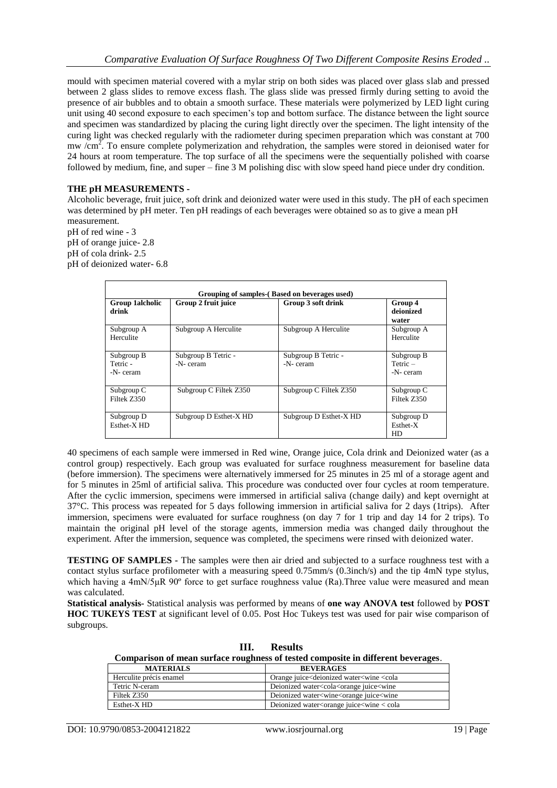mould with specimen material covered with a mylar strip on both sides was placed over glass slab and pressed between 2 glass slides to remove excess flash. The glass slide was pressed firmly during setting to avoid the presence of air bubbles and to obtain a smooth surface. These materials were polymerized by LED light curing unit using 40 second exposure to each specimen's top and bottom surface. The distance between the light source and specimen was standardized by placing the curing light directly over the specimen. The light intensity of the curing light was checked regularly with the radiometer during specimen preparation which was constant at 700 mw  $\overline{\rm cm}^2$ . To ensure complete polymerization and rehydration, the samples were stored in deionised water for 24 hours at room temperature. The top surface of all the specimens were the sequentially polished with coarse followed by medium, fine, and super – fine 3 M polishing disc with slow speed hand piece under dry condition.

## **THE pH MEASUREMENTS -**

Alcoholic beverage, fruit juice, soft drink and deionized water were used in this study. The pH of each specimen was determined by pH meter. Ten pH readings of each beverages were obtained so as to give a mean pH measurement.

pH of red wine - 3 pH of orange juice- 2.8 pH of cola drink- 2.5 pH of deionized water- 6.8

| Grouping of samples-(Based on beverages used) |                                 |                                 |                                      |  |  |  |  |
|-----------------------------------------------|---------------------------------|---------------------------------|--------------------------------------|--|--|--|--|
| Group 1alcholic<br>drink                      | Group 2 fruit juice             | Group 3 soft drink              | Group 4<br>deionized<br>water        |  |  |  |  |
| Subgroup A<br>Herculite                       | Subgroup A Herculite            | Subgroup A Herculite            | Subgroup A<br>Herculite              |  |  |  |  |
| Subgroup B<br>Tetric -<br>-N-ceram            | Subgroup B Tetric -<br>-N-ceram | Subgroup B Tetric -<br>-N-ceram | Subgroup B<br>$Tetric -$<br>-N-ceram |  |  |  |  |
| Subgroup C<br>Filtek Z350                     | Subgroup C Filtek Z350          | Subgroup C Filtek Z350          | Subgroup C<br>Filtek Z350            |  |  |  |  |
| Subgroup D<br>Esthet-X <sub>HD</sub>          | Subgroup D Esthet-X HD          | Subgroup D Esthet-X HD          | Subgroup D<br>Esthet-X<br>HD         |  |  |  |  |

40 specimens of each sample were immersed in Red wine, Orange juice, Cola drink and Deionized water (as a control group) respectively. Each group was evaluated for surface roughness measurement for baseline data (before immersion). The specimens were alternatively immersed for 25 minutes in 25 ml of a storage agent and for 5 minutes in 25ml of artificial saliva. This procedure was conducted over four cycles at room temperature. After the cyclic immersion, specimens were immersed in artificial saliva (change daily) and kept overnight at 37°C. This process was repeated for 5 days following immersion in artificial saliva for 2 days (1trips). After immersion, specimens were evaluated for surface roughness (on day 7 for 1 trip and day 14 for 2 trips). To maintain the original pH level of the storage agents, immersion media was changed daily throughout the experiment. After the immersion, sequence was completed, the specimens were rinsed with deionized water.

**TESTING OF SAMPLES -** The samples were then air dried and subjected to a surface roughness test with a contact stylus surface profilometer with a measuring speed 0.75mm/s (0.3inch/s) and the tip 4mN type stylus, which having a 4mN/5μR 90° force to get surface roughness value (Ra). Three value were measured and mean was calculated.

**Statistical analysis-** Statistical analysis was performed by means of **one way ANOVA test** followed by **POST HOC TUKEYS TEST** at significant level of 0.05. Post Hoc Tukeys test was used for pair wise comparison of subgroups.

**III. Results Comparison of mean surface roughness of tested composite in different beverages**.

| <b>MATERIALS</b>        | <b>BEVERAGES</b>                                                    |
|-------------------------|---------------------------------------------------------------------|
| Herculite précis enamel | Orange juice <dejonized <cola<="" td="" water<wine=""></dejonized>  |
| Tetric N-ceram          | Deionized water <cola<orange juice<wine<="" td=""></cola<orange>    |
| Filtek Z350             | Deionized water <wine<orange juice<wine<="" td=""></wine<orange>    |
| Esthet-X HD             | Deionized water <orange <="" cola<="" juice<wine="" td=""></orange> |
|                         |                                                                     |

DOI: 10.9790/0853-2004121822 www.iosrjournal.org 19 | Page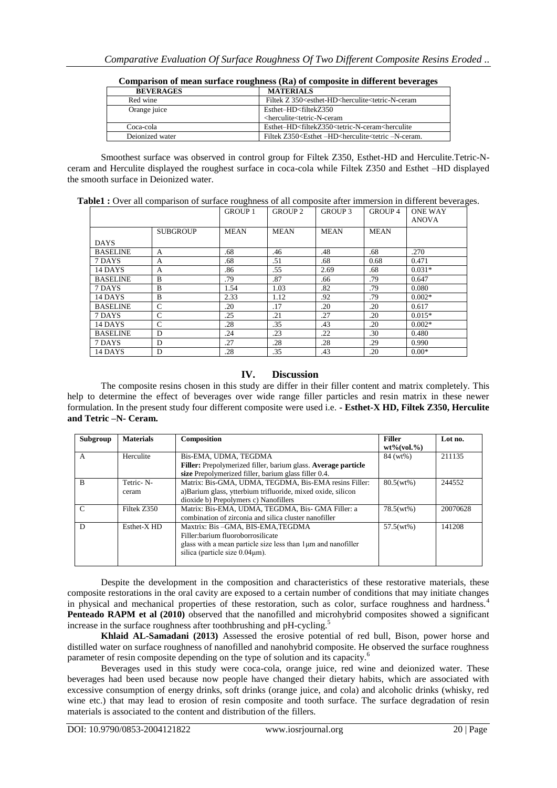| <b>BEVERAGES</b> | <b>MATERIALS</b>                                                                               |
|------------------|------------------------------------------------------------------------------------------------|
| Red wine         | Filtek Z 350 <esthet-hd<herculite<tetric-n-ceram< td=""></esthet-hd<herculite<tetric-n-ceram<> |
| Orange juice     | Esthet-HD <filtekz350< td=""></filtekz350<>                                                    |
|                  | <herculite<tetric-n-ceram< td=""></herculite<tetric-n-ceram<>                                  |
| Coca-cola        | Esthet-HD <filtekz350<tetric-n-ceram<herculite< td=""></filtekz350<tetric-n-ceram<herculite<>  |
| Deionized water  | Filtek Z350 <esthet -hd<herculite<tetric="" -n-ceram.<="" td=""></esthet>                      |

|  | Comparison of mean surface roughness (Ra) of composite in different beverages |
|--|-------------------------------------------------------------------------------|
|--|-------------------------------------------------------------------------------|

Smoothest surface was observed in control group for Filtek Z350, Esthet-HD and Herculite.Tetric-Nceram and Herculite displayed the roughest surface in coca-cola while Filtek Z350 and Esthet –HD displayed the smooth surface in Deionized water.

|  |  |  |  | Table1 : Over all comparison of surface roughness of all composite after immersion in different beverages. |
|--|--|--|--|------------------------------------------------------------------------------------------------------------|
|  |  |  |  |                                                                                                            |

|                 |                 | <b>GROUP 1</b> | <b>GROUP 2</b> | <b>GROUP 3</b> | GROUP 4     | <b>ONE WAY</b><br><b>ANOVA</b> |
|-----------------|-----------------|----------------|----------------|----------------|-------------|--------------------------------|
|                 | <b>SUBGROUP</b> | <b>MEAN</b>    | <b>MEAN</b>    | <b>MEAN</b>    | <b>MEAN</b> |                                |
| <b>DAYS</b>     |                 |                |                |                |             |                                |
| <b>BASELINE</b> | A               | .68            | .46            | .48            | .68         | .270                           |
| 7 DAYS          | A               | .68            | .51            | .68            | 0.68        | 0.471                          |
| 14 DAYS         | A               | .86            | .55            | 2.69           | .68         | $0.031*$                       |
| <b>BASELINE</b> | B               | .79            | .87            | .66            | .79         | 0.647                          |
| 7 DAYS          | B               | 1.54           | 1.03           | .82            | .79         | 0.080                          |
| 14 DAYS         | B               | 2.33           | 1.12           | .92            | .79         | $0.002*$                       |
| <b>BASELINE</b> | $\mathcal{C}$   | .20            | .17            | .20            | .20         | 0.617                          |
| 7 DAYS          | $\mathsf{C}$    | .25            | .21            | .27            | .20         | $0.015*$                       |
| 14 DAYS         | $\mathcal{C}$   | .28            | .35            | .43            | .20         | $0.002*$                       |
| <b>BASELINE</b> | D               | .24            | .23            | .22            | .30         | 0.480                          |
| 7 DAYS          | D               | .27            | .28            | .28            | .29         | 0.990                          |
| 14 DAYS         | D               | .28            | .35            | .43            | .20         | $0.00*$                        |

# **IV. Discussion**

The composite resins chosen in this study are differ in their filler content and matrix completely. This help to determine the effect of beverages over wide range filler particles and resin matrix in these newer formulation. In the present study four different composite were used i.e. **- Esthet-X HD, Filtek Z350, Herculite and Tetric –N- Ceram.**

| Subgroup      | <b>Materials</b>       | Composition                                                   | <b>Filler</b>       | Lot no.  |
|---------------|------------------------|---------------------------------------------------------------|---------------------|----------|
|               |                        |                                                               | $wt\%$ (vol. $\%$ ) |          |
| A             | Herculite              | Bis-EMA, UDMA, TEGDMA                                         | 84 (wt%)            | 211135   |
|               |                        | Filler: Prepolymerized filler, barium glass. Average particle |                     |          |
|               |                        | size Prepolymerized filler, barium glass filler 0.4.          |                     |          |
| <sup>B</sup>  | Tetric-N-              | Matrix: Bis-GMA, UDMA, TEGDMA, Bis-EMA resins Filler:         | $80.5(wt\%)$        | 244552   |
|               | ceram                  | a)Barium glass, ytterbium trifluoride, mixed oxide, silicon   |                     |          |
|               |                        | dioxide b) Prepolymers c) Nanofillers                         |                     |          |
| $\mathcal{C}$ | Filtek Z350            | Matrix: Bis-EMA, UDMA, TEGDMA, Bis- GMA Filler: a             | 78.5(wt%)           | 20070628 |
|               |                        | combination of zirconia and silica cluster nanofiller         |                     |          |
| D             | Esthet-X <sub>HD</sub> | Maxtrix: Bis-GMA, BIS-EMA, TEGDMA                             | 57.5(wt%)           | 141208   |
|               |                        | Filler: barium fluoroborrosilicate                            |                     |          |
|               |                        | glass with a mean particle size less than 1 um and nanofiller |                     |          |
|               |                        | silica (particle size $0.04 \mu m$ ).                         |                     |          |
|               |                        |                                                               |                     |          |

Despite the development in the composition and characteristics of these restorative materials, these composite restorations in the oral cavity are exposed to a certain number of conditions that may initiate changes in physical and mechanical properties of these restoration, such as color, surface roughness and hardness.<sup>4</sup> **Penteado RAPM et al (2010)** observed that the nanofilled and microhybrid composites showed a significant increase in the surface roughness after toothbrushing and pH-cycling.<sup>5</sup>

**Khlaid AL-Samadani (2013)** Assessed the erosive potential of red bull, Bison, power horse and distilled water on surface roughness of nanofilled and nanohybrid composite. He observed the surface roughness parameter of resin composite depending on the type of solution and its capacity.<sup>6</sup>

Beverages used in this study were coca-cola, orange juice, red wine and deionized water. These beverages had been used because now people have changed their dietary habits, which are associated with excessive consumption of energy drinks, soft drinks (orange juice, and cola) and alcoholic drinks (whisky, red wine etc.) that may lead to erosion of resin composite and tooth surface. The surface degradation of resin materials is associated to the content and distribution of the fillers.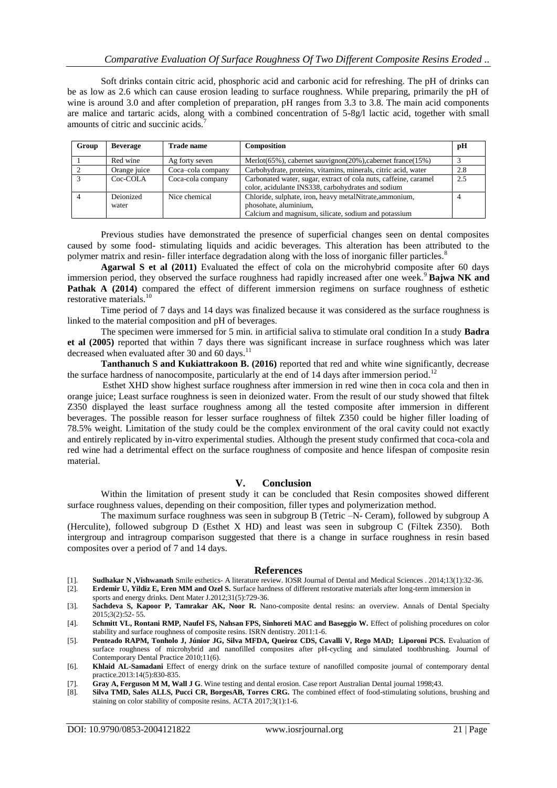Soft drinks contain citric acid, phosphoric acid and carbonic acid for refreshing. The pH of drinks can be as low as 2.6 which can cause erosion leading to surface roughness. While preparing, primarily the pH of wine is around 3.0 and after completion of preparation, pH ranges from 3.3 to 3.8. The main acid components are malice and tartaric acids, along with a combined concentration of 5-8g/l lactic acid, together with small amounts of citric and succinic acids.<sup>7</sup>

| Group | <b>Beverage</b>    | <b>Trade name</b> | Composition                                                                                                                              | рH  |
|-------|--------------------|-------------------|------------------------------------------------------------------------------------------------------------------------------------------|-----|
|       | Red wine           | Ag forty seven    | Merlot( $65\%$ ), cabernet sauvignon( $20\%$ ), cabernet france( $15\%$ )                                                                |     |
|       | Orange juice       | Coca-cola company | Carbohydrate, proteins, vitamins, minerals, citric acid, water                                                                           | 2.8 |
|       | Coc-COLA           | Coca-cola company | Carbonated water, sugar, extract of cola nuts, caffeine, caramel<br>color, acidulante INS338, carbohydrates and sodium                   | 2.5 |
|       | Deionized<br>water | Nice chemical     | Chloride, sulphate, iron, heavy metalNitrate, ammonium,<br>phosohate, aluminium,<br>Calcium and magnisum, silicate, sodium and potassium |     |

Previous studies have demonstrated the presence of superficial changes seen on dental composites caused by some food- stimulating liquids and acidic beverages. This alteration has been attributed to the polymer matrix and resin- filler interface degradation along with the loss of inorganic filler particles.<sup>8</sup>

**Agarwal S et al (2011)** Evaluated the effect of cola on the microhybrid composite after 60 days immersion period, they observed the surface roughness had rapidly increased after one week.<sup>9</sup> **Bajwa NK and Pathak A (2014)** compared the effect of different immersion regimens on surface roughness of esthetic restorative materials.<sup>10</sup>

Time period of 7 days and 14 days was finalized because it was considered as the surface roughness is linked to the material composition and pH of beverages.

The specimen were immersed for 5 min. in artificial saliva to stimulate oral condition In a study **Badra et al (2005)** reported that within 7 days there was significant increase in surface roughness which was later decreased when evaluated after 30 and 60 days.<sup>11</sup>

**Tanthanuch S and Kukiattrakoon B. (2016)** reported that red and white wine significantly, decrease the surface hardness of nanocomposite, particularly at the end of 14 days after immersion period.<sup>12</sup>

Esthet XHD show highest surface roughness after immersion in red wine then in coca cola and then in orange juice; Least surface roughness is seen in deionized water. From the result of our study showed that filtek Z350 displayed the least surface roughness among all the tested composite after immersion in different beverages. The possible reason for lesser surface roughness of filtek Z350 could be higher filler loading of 78.5% weight. Limitation of the study could be the complex environment of the oral cavity could not exactly and entirely replicated by in-vitro experimental studies. Although the present study confirmed that coca-cola and red wine had a detrimental effect on the surface roughness of composite and hence lifespan of composite resin material.

#### **V. Conclusion**

Within the limitation of present study it can be concluded that Resin composites showed different surface roughness values, depending on their composition, filler types and polymerization method.

The maximum surface roughness was seen in subgroup B (Tetric –N- Ceram), followed by subgroup A (Herculite), followed subgroup D (Esthet X HD) and least was seen in subgroup C (Filtek Z350). Both intergroup and intragroup comparison suggested that there is a change in surface roughness in resin based composites over a period of 7 and 14 days.

#### **References**

- [1]. **Sudhakar N ,Vishwanath** Smile esthetics- A literature review. IOSR Journal of Dental and Medical Sciences . 2014;13(1):32-36. Erdemir U, Yildiz E, Eren MM and Ozel S. Surface hardness of different restorative materials after long-term immersion in
- sports and energy drinks. Dent Mater J.2012;31(5):729-36.
- [3]. **Sachdeva S, Kapoor P, Tamrakar AK, Noor R.** Nano-composite dental resins: an overview. Annals of Dental Specialty 2015;3(2):52- 55.

[4]. **Schmitt VL, Rontani RMP, Naufel FS, Nahsan FPS, Sinhoreti MAC and Baseggio W.** Effect of polishing procedures on color stability and surface roughness of composite resins. ISRN dentistry. 2011:1-6.

- [5]. **Penteado RAPM, Tonholo J, Júnior JG, Silva MFDA, Queiroz CDS, Cavalli V, Rego MAD; Liporoni PCS.** Evaluation of surface roughness of microhybrid and nanofilled composites after pH-cycling and simulated toothbrushing. Journal of Contemporary Dental Practice 2010;11(6).
- [6]. **Khlaid AL-Samadani** Effect of energy drink on the surface texture of nanofilled composite journal of contemporary dental practice.2013:14(5):830-835.
- [7]. **Gray A, Ferguson M M, Wall J G**. Wine testing and dental erosion. Case report Australian Dental journal 1998;43.
- [8]. **Silva TMD, Sales ALLS, Pucci CR, BorgesAB, Torres CRG.** The combined effect of food-stimulating solutions, brushing and staining on color stability of composite resins. ACTA 2017;3(1):1-6.